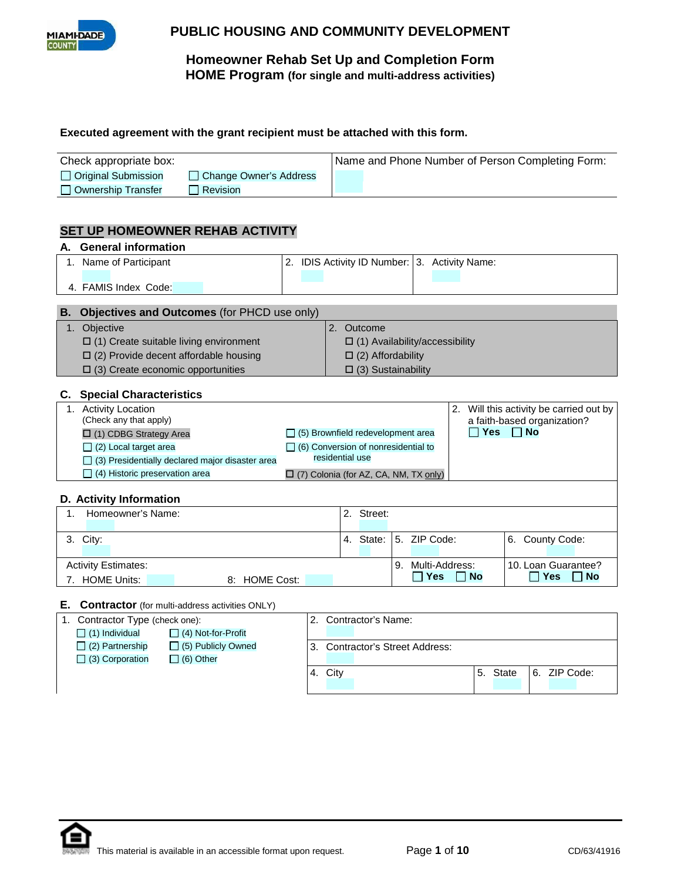

# **Homeowner Rehab Set Up and Completion Form HOME Program (for single and multi-address activities)**

#### **Executed agreement with the grant recipient must be attached with this form.**

| Check appropriate box: |                          | Name and Phone Number of Person Completing Form: |
|------------------------|--------------------------|--------------------------------------------------|
| Original Submission    | □ Change Owner's Address |                                                  |
| Ownership Transfer     | Revision                 |                                                  |

## **SET UP HOMEOWNER REHAB ACTIVITY**

| А.             | <b>General information</b>                      |                                                  |  |                                           |                                            |    |                |            |                                      |  |  |  |
|----------------|-------------------------------------------------|--------------------------------------------------|--|-------------------------------------------|--------------------------------------------|----|----------------|------------|--------------------------------------|--|--|--|
|                | 1. Name of Participant                          | IDIS Activity ID Number: 3. Activity Name:<br>2. |  |                                           |                                            |    |                |            |                                      |  |  |  |
|                | 4. FAMIS Index Code:                            |                                                  |  |                                           |                                            |    |                |            |                                      |  |  |  |
|                |                                                 |                                                  |  |                                           |                                            |    |                |            |                                      |  |  |  |
| В.             | Objectives and Outcomes (for PHCD use only)     |                                                  |  |                                           |                                            |    |                |            |                                      |  |  |  |
| 1.             | Objective                                       |                                                  |  | 2.<br>Outcome                             |                                            |    |                |            |                                      |  |  |  |
|                | $\Box$ (1) Create suitable living environment   |                                                  |  | $\Box$ (1) Availability/accessibility     |                                            |    |                |            |                                      |  |  |  |
|                | $\Box$ (2) Provide decent affordable housing    |                                                  |  | $\Box$ (2) Affordability                  |                                            |    |                |            |                                      |  |  |  |
|                | $\Box$ (3) Create economic opportunities        |                                                  |  |                                           | $\Box$ (3) Sustainability                  |    |                |            |                                      |  |  |  |
|                |                                                 |                                                  |  |                                           |                                            |    |                |            |                                      |  |  |  |
|                | <b>Special Characteristics</b>                  |                                                  |  |                                           |                                            |    |                |            |                                      |  |  |  |
| 1.             | <b>Activity Location</b>                        |                                                  |  |                                           |                                            |    |                | 2.         | Will this activity be carried out by |  |  |  |
|                | (Check any that apply)                          |                                                  |  | a faith-based organization?               |                                            |    |                |            |                                      |  |  |  |
|                | $\Box$ (1) CDBG Strategy Area                   |                                                  |  |                                           | (5) Brownfield redevelopment area          |    |                | <b>Yes</b> | <b>No</b>                            |  |  |  |
|                | $\Box$ (2) Local target area                    |                                                  |  |                                           | $\Box$ (6) Conversion of nonresidential to |    |                |            |                                      |  |  |  |
|                | (3) Presidentially declared major disaster area |                                                  |  | residential use                           |                                            |    |                |            |                                      |  |  |  |
|                | (4) Historic preservation area                  |                                                  |  | [7] (7) Colonia (for AZ, CA, NM, TX only) |                                            |    |                |            |                                      |  |  |  |
|                |                                                 |                                                  |  |                                           |                                            |    |                |            |                                      |  |  |  |
|                | D. Activity Information                         |                                                  |  |                                           |                                            |    |                |            |                                      |  |  |  |
| $\mathbf{1}$ . | Homeowner's Name:                               |                                                  |  |                                           | 2. Street:                                 |    |                |            |                                      |  |  |  |
|                |                                                 |                                                  |  |                                           |                                            |    |                |            |                                      |  |  |  |
|                | 3. City:                                        |                                                  |  |                                           | 4. State:                                  |    | 5. ZIP Code:   |            | County Code:<br>6.                   |  |  |  |
|                |                                                 |                                                  |  |                                           |                                            |    |                |            |                                      |  |  |  |
|                | <b>Activity Estimates:</b>                      |                                                  |  |                                           |                                            | 9. | Multi-Address: |            | 10. Loan Guarantee?                  |  |  |  |
|                | 7. HOME Units:<br>8: HOME Cost:                 |                                                  |  |                                           |                                            |    | Yes            | <b>No</b>  | <b>Yes</b><br><b>No</b>              |  |  |  |
|                |                                                 |                                                  |  |                                           |                                            |    |                |            |                                      |  |  |  |

#### **E. Contractor** (for multi-address activities ONLY)

| 1. Contractor Type (check one): |                           |  | Contractor's Name: |                                 |    |       |  |              |  |  |  |
|---------------------------------|---------------------------|--|--------------------|---------------------------------|----|-------|--|--------------|--|--|--|
| $\Box$ (1) Individual           | $\Box$ (4) Not-for-Profit |  |                    |                                 |    |       |  |              |  |  |  |
| $\Box$ (2) Partnership          | $\Box$ (5) Publicly Owned |  |                    | 3. Contractor's Street Address: |    |       |  |              |  |  |  |
| $\Box$ (3) Corporation          | $\Box$ (6) Other          |  |                    |                                 |    |       |  |              |  |  |  |
|                                 |                           |  | 4. City            |                                 | 5. | State |  | 6. ZIP Code: |  |  |  |
|                                 |                           |  |                    |                                 |    |       |  |              |  |  |  |

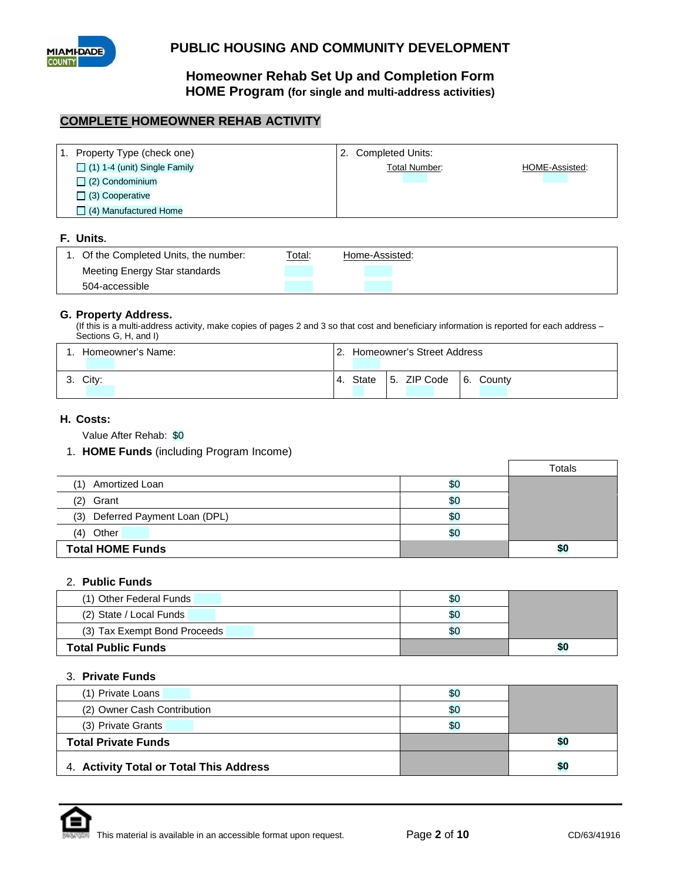

**Homeowner Rehab Set Up and Completion Form HOME Program (for single and multi-address activities)**

### **COMPLETE HOMEOWNER REHAB ACTIVITY**

| $\mathbf{1}$ . | Property Type (check one)           | 2. Completed Units:  |                |
|----------------|-------------------------------------|----------------------|----------------|
|                | $\Box$ (1) 1-4 (unit) Single Family | <b>Total Number:</b> | HOME-Assisted: |
|                | $\Box$ (2) Condominium              |                      |                |
|                | $\Box$ (3) Cooperative              |                      |                |
|                | $\Box$ (4) Manufactured Home        |                      |                |
|                |                                     |                      |                |
|                | F. Units.                           |                      |                |
|                |                                     |                      |                |

|                               |  | Home-Assisted: |  |
|-------------------------------|--|----------------|--|
| Meeting Energy Star standards |  |                |  |
| 504-accessible                |  |                |  |

#### **G. Property Address.**

(If this is a multi-address activity, make copies of pages 2 and 3 so that cost and beneficiary information is reported for each address – Sections G, H, and I)

| Homeowner's Name: | Homeowner's Street Address                               |  |  |  |  |  |  |  |
|-------------------|----------------------------------------------------------|--|--|--|--|--|--|--|
| City:             | 5. ZIP Code<br>$\overline{6}$ .<br>County<br>State<br>4. |  |  |  |  |  |  |  |

#### **H. Costs:**

Value After Rehab: \$0

#### 1. **HOME Funds** (including Program Income)

|                                    |     | Totals |
|------------------------------------|-----|--------|
| Amortized Loan<br>(1)              | \$0 |        |
| Grant<br>(2)                       | \$0 |        |
| Deferred Payment Loan (DPL)<br>(3) | \$0 |        |
| Other<br>(4)                       | \$0 |        |
| <b>Total HOME Funds</b>            |     | \$0    |

### 2. **Public Funds**

| (1) Other Federal Funds      | \$0 |     |
|------------------------------|-----|-----|
| (2) State / Local Funds      | \$0 |     |
| (3) Tax Exempt Bond Proceeds | \$0 |     |
| <b>Total Public Funds</b>    |     | \$0 |

#### 3. **Private Funds**

| (1) Private Loans                       | \$0 |     |
|-----------------------------------------|-----|-----|
| (2) Owner Cash Contribution             | \$0 |     |
| (3) Private Grants                      | \$0 |     |
| <b>Total Private Funds</b>              |     | \$0 |
| 4. Activity Total or Total This Address |     | \$0 |

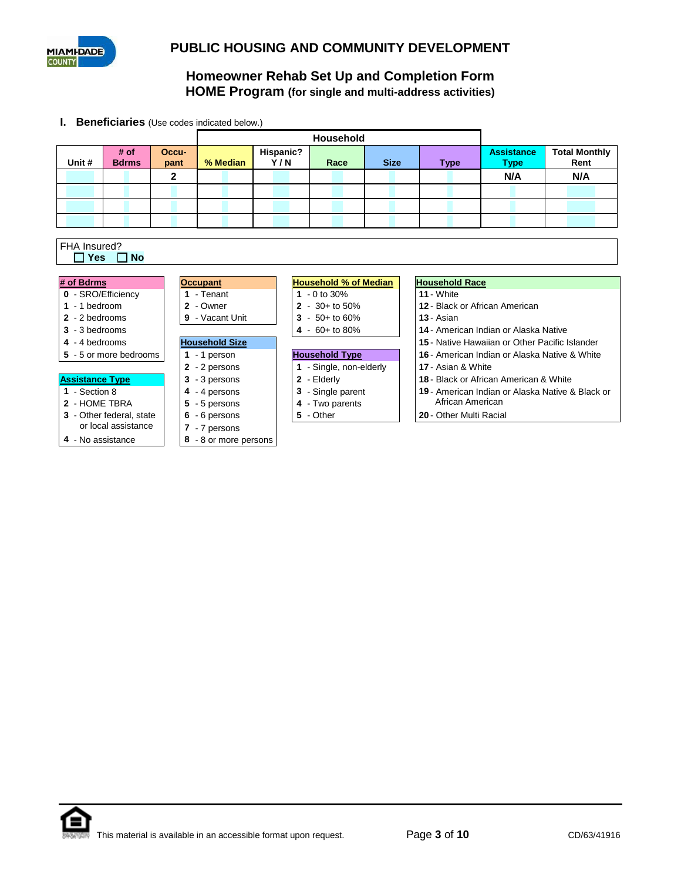

**I. Beneficiaries** (Use codes indicated below.)

| <b>Household</b>           |                      |  |               |                       |                       |  |                  |                              |      |  |  |             |                                       |                                               |                                                  |                              |     |  |  |  |  |  |
|----------------------------|----------------------|--|---------------|-----------------------|-----------------------|--|------------------|------------------------------|------|--|--|-------------|---------------------------------------|-----------------------------------------------|--------------------------------------------------|------------------------------|-----|--|--|--|--|--|
| Unit #                     | # of<br><b>Bdrms</b> |  | Occu-<br>pant |                       | % Median              |  | Hispanic?<br>Y/N |                              | Race |  |  | <b>Size</b> | <b>Type</b>                           |                                               | <b>Assistance</b><br><b>Type</b>                 | <b>Total Monthly</b><br>Rent |     |  |  |  |  |  |
|                            |                      |  | $\mathbf{2}$  |                       |                       |  |                  |                              |      |  |  |             |                                       |                                               | N/A                                              |                              | N/A |  |  |  |  |  |
|                            |                      |  |               |                       |                       |  |                  |                              |      |  |  |             |                                       |                                               |                                                  |                              |     |  |  |  |  |  |
|                            |                      |  |               |                       |                       |  |                  |                              |      |  |  |             |                                       |                                               |                                                  |                              |     |  |  |  |  |  |
|                            |                      |  |               |                       |                       |  |                  |                              |      |  |  |             |                                       |                                               |                                                  |                              |     |  |  |  |  |  |
|                            |                      |  |               |                       |                       |  |                  |                              |      |  |  |             |                                       |                                               |                                                  |                              |     |  |  |  |  |  |
| FHA Insured?<br><b>Yes</b> | <b>No</b>            |  |               |                       |                       |  |                  |                              |      |  |  |             |                                       |                                               |                                                  |                              |     |  |  |  |  |  |
|                            |                      |  |               |                       |                       |  |                  |                              |      |  |  |             |                                       |                                               |                                                  |                              |     |  |  |  |  |  |
| # of Bdrms                 |                      |  |               | <b>Occupant</b>       |                       |  |                  | <b>Household % of Median</b> |      |  |  |             |                                       | <b>Household Race</b>                         |                                                  |                              |     |  |  |  |  |  |
| 0 - SRO/Efficiency         |                      |  |               | 1 - Tenant            |                       |  | 1 $-0$ to 30%    |                              |      |  |  |             | 11 - White                            |                                               |                                                  |                              |     |  |  |  |  |  |
| $1 - 1$ bedroom            |                      |  |               | 2 - Owner             |                       |  |                  | $2 - 30 +$ to 50%            |      |  |  |             | 12 - Black or African American        |                                               |                                                  |                              |     |  |  |  |  |  |
| $2 - 2$ bedrooms           |                      |  |               | 9 - Vacant Unit       |                       |  |                  | $3 - 50 +$ to 60%            |      |  |  |             | 13 - Asian                            |                                               |                                                  |                              |     |  |  |  |  |  |
| $3 - 3$ bedrooms           |                      |  |               |                       |                       |  |                  | 4 - $60+$ to 80%             |      |  |  |             | 14 - American Indian or Alaska Native |                                               |                                                  |                              |     |  |  |  |  |  |
| 4 - 4 bedrooms             |                      |  |               | <b>Household Size</b> |                       |  |                  |                              |      |  |  |             |                                       |                                               | 15 - Native Hawaiian or Other Pacific Islander   |                              |     |  |  |  |  |  |
| 5 - 5 or more bedrooms     |                      |  |               | 1 $-1$ person         |                       |  |                  | <b>Household Type</b>        |      |  |  |             |                                       | 16 - American Indian or Alaska Native & White |                                                  |                              |     |  |  |  |  |  |
|                            |                      |  |               | 2 - 2 persons         |                       |  |                  | 1 - Single, non-elderly      |      |  |  |             |                                       | 17 - Asian & White                            |                                                  |                              |     |  |  |  |  |  |
| <b>Assistance Type</b>     |                      |  |               | 3 - 3 persons         |                       |  |                  | 2 - Elderly                  |      |  |  |             |                                       |                                               | 18 - Black or African American & White           |                              |     |  |  |  |  |  |
| 1 - Section 8              |                      |  |               | 4 - 4 persons         |                       |  |                  | 3 - Single parent            |      |  |  |             |                                       |                                               | 19 - American Indian or Alaska Native & Black or |                              |     |  |  |  |  |  |
| 2 - HOME TBRA              |                      |  |               | 5 - 5 persons         |                       |  |                  | 4 - Two parents              |      |  |  |             |                                       | African American                              |                                                  |                              |     |  |  |  |  |  |
| 3 - Other federal, state   |                      |  |               | 6 - 6 persons         |                       |  |                  | 5 - Other                    |      |  |  |             |                                       | 20 - Other Multi Racial                       |                                                  |                              |     |  |  |  |  |  |
|                            | or local assistance  |  |               | 7 - 7 persons         |                       |  |                  |                              |      |  |  |             |                                       |                                               |                                                  |                              |     |  |  |  |  |  |
| 4 - No assistance          |                      |  |               |                       | 8 - 8 or more persons |  |                  |                              |      |  |  |             |                                       |                                               |                                                  |                              |     |  |  |  |  |  |

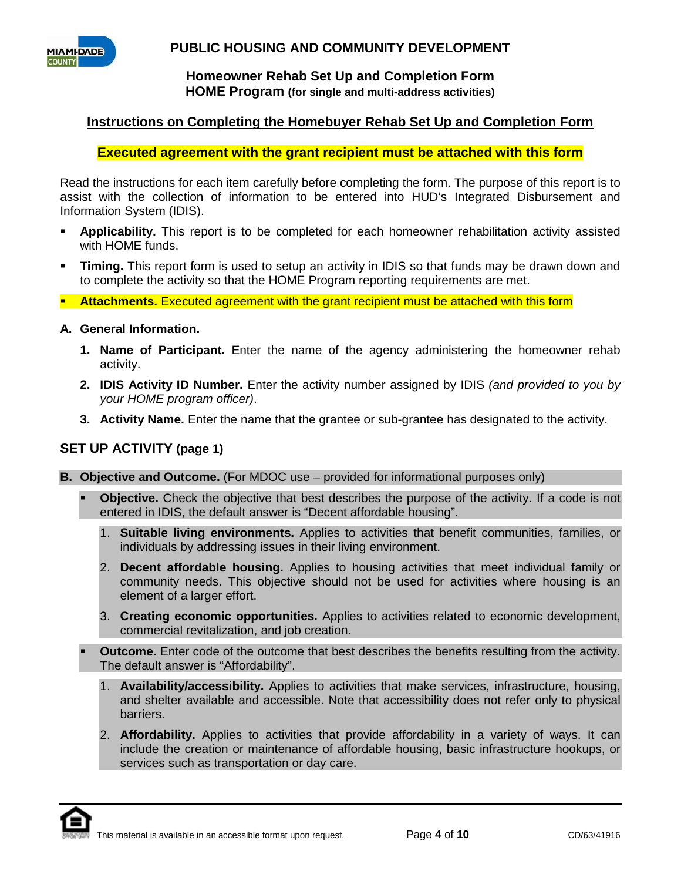

### **Homeowner Rehab Set Up and Completion Form HOME Program (for single and multi-address activities)**

# **Instructions on Completing the Homebuyer Rehab Set Up and Completion Form**

# **Executed agreement with the grant recipient must be attached with this form**

Read the instructions for each item carefully before completing the form. The purpose of this report is to assist with the collection of information to be entered into HUD's Integrated Disbursement and Information System (IDIS).

- **Applicability.** This report is to be completed for each homeowner rehabilitation activity assisted with HOME funds.
- **Timing.** This report form is used to setup an activity in IDIS so that funds may be drawn down and to complete the activity so that the HOME Program reporting requirements are met.
- **Attachments.** Executed agreement with the grant recipient must be attached with this form

### **A. General Information.**

- **1. Name of Participant.** Enter the name of the agency administering the homeowner rehab activity.
- **2. IDIS Activity ID Number.** Enter the activity number assigned by IDIS *(and provided to you by your HOME program officer)*.
- **3. Activity Name.** Enter the name that the grantee or sub-grantee has designated to the activity.

### **SET UP ACTIVITY (page 1)**

**B. Objective and Outcome.** (For MDOC use – provided for informational purposes only)

- **Objective.** Check the objective that best describes the purpose of the activity. If a code is not entered in IDIS, the default answer is "Decent affordable housing".
	- 1. **Suitable living environments.** Applies to activities that benefit communities, families, or individuals by addressing issues in their living environment.
	- 2. **Decent affordable housing.** Applies to housing activities that meet individual family or community needs. This objective should not be used for activities where housing is an element of a larger effort.
	- 3. **Creating economic opportunities.** Applies to activities related to economic development, commercial revitalization, and job creation.
- **Outcome.** Enter code of the outcome that best describes the benefits resulting from the activity. The default answer is "Affordability".
	- 1. **Availability/accessibility.** Applies to activities that make services, infrastructure, housing, and shelter available and accessible. Note that accessibility does not refer only to physical barriers.
	- 2. **Affordability.** Applies to activities that provide affordability in a variety of ways. It can include the creation or maintenance of affordable housing, basic infrastructure hookups, or services such as transportation or day care.

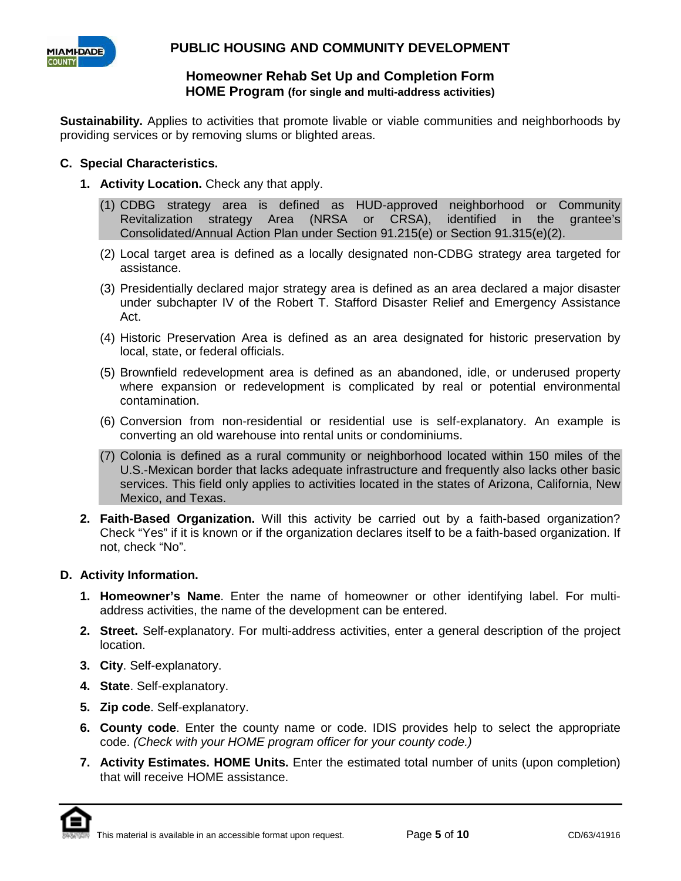

### **Homeowner Rehab Set Up and Completion Form HOME Program (for single and multi-address activities)**

**Sustainability.** Applies to activities that promote livable or viable communities and neighborhoods by providing services or by removing slums or blighted areas.

### **C. Special Characteristics.**

- **1. Activity Location.** Check any that apply.
	- (1) CDBG strategy area is defined as HUD-approved neighborhood or Community Revitalization strategy Area (NRSA or CRSA), identified in the grantee's Consolidated/Annual Action Plan under Section 91.215(e) or Section 91.315(e)(2).
	- (2) Local target area is defined as a locally designated non-CDBG strategy area targeted for assistance.
	- (3) Presidentially declared major strategy area is defined as an area declared a major disaster under subchapter IV of the Robert T. Stafford Disaster Relief and Emergency Assistance Act.
	- (4) Historic Preservation Area is defined as an area designated for historic preservation by local, state, or federal officials.
	- (5) Brownfield redevelopment area is defined as an abandoned, idle, or underused property where expansion or redevelopment is complicated by real or potential environmental contamination.
	- (6) Conversion from non-residential or residential use is self-explanatory. An example is converting an old warehouse into rental units or condominiums.
	- (7) Colonia is defined as a rural community or neighborhood located within 150 miles of the U.S.-Mexican border that lacks adequate infrastructure and frequently also lacks other basic services. This field only applies to activities located in the states of Arizona, California, New Mexico, and Texas.
- **2. Faith-Based Organization.** Will this activity be carried out by a faith-based organization? Check "Yes" if it is known or if the organization declares itself to be a faith-based organization. If not, check "No".

### **D. Activity Information.**

- **1. Homeowner's Name**. Enter the name of homeowner or other identifying label. For multiaddress activities, the name of the development can be entered.
- **2. Street.** Self-explanatory. For multi-address activities, enter a general description of the project location.
- **3. City**. Self-explanatory.
- **4. State**. Self-explanatory.
- **5. Zip code**. Self-explanatory.
- **6. County code**. Enter the county name or code. IDIS provides help to select the appropriate code. *(Check with your HOME program officer for your county code.)*
- **7. Activity Estimates. HOME Units.** Enter the estimated total number of units (upon completion) that will receive HOME assistance.

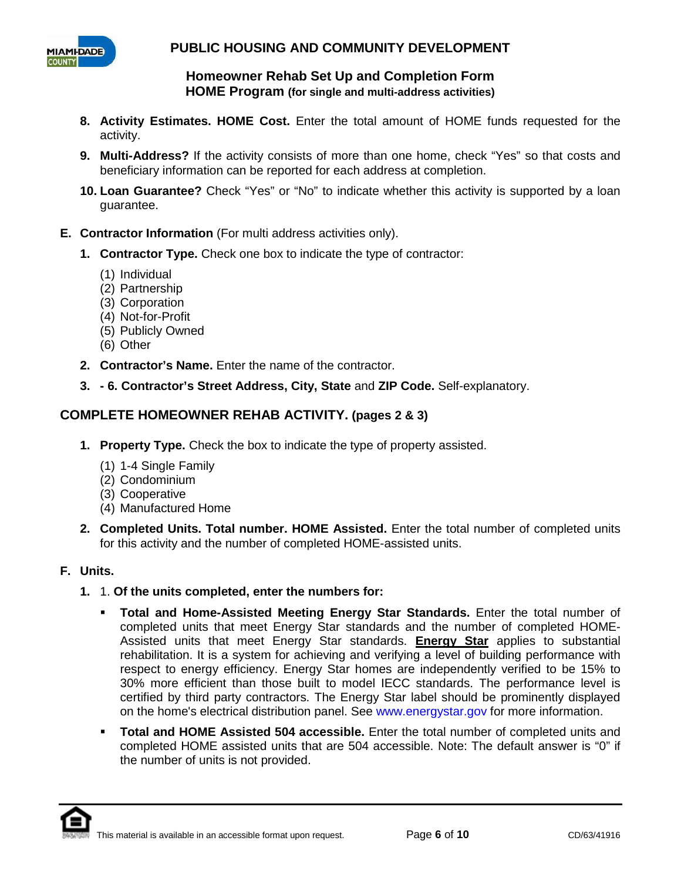

**Homeowner Rehab Set Up and Completion Form HOME Program (for single and multi-address activities)**

- **8. Activity Estimates. HOME Cost.** Enter the total amount of HOME funds requested for the activity.
- **9. Multi-Address?** If the activity consists of more than one home, check "Yes" so that costs and beneficiary information can be reported for each address at completion.
- **10. Loan Guarantee?** Check "Yes" or "No" to indicate whether this activity is supported by a loan guarantee.
- **E. Contractor Information** (For multi address activities only).
	- **1. Contractor Type.** Check one box to indicate the type of contractor:
		- (1) Individual
		- (2) Partnership
		- (3) Corporation
		- (4) Not-for-Profit
		- (5) Publicly Owned
		- (6) Other
	- **2. Contractor's Name.** Enter the name of the contractor.
	- **3. - 6. Contractor's Street Address, City, State** and **ZIP Code.** Self-explanatory.

# **COMPLETE HOMEOWNER REHAB ACTIVITY. (pages 2 & 3)**

- **1. Property Type.** Check the box to indicate the type of property assisted.
	- (1) 1-4 Single Family
	- (2) Condominium
	- (3) Cooperative
	- (4) Manufactured Home
- **2. Completed Units. Total number. HOME Assisted.** Enter the total number of completed units for this activity and the number of completed HOME-assisted units.

### **F. Units.**

- **1.** 1. **Of the units completed, enter the numbers for:** 
	- **Total and Home-Assisted Meeting Energy Star Standards.** Enter the total number of completed units that meet Energy Star standards and the number of completed HOME-Assisted units that meet Energy Star standards. **Energy Star** applies to substantial rehabilitation. It is a system for achieving and verifying a level of building performance with respect to energy efficiency. Energy Star homes are independently verified to be 15% to 30% more efficient than those built to model IECC standards. The performance level is certified by third party contractors. The Energy Star label should be prominently displayed on the home's electrical distribution panel. See www.energystar.gov for more information.
	- **Total and HOME Assisted 504 accessible.** Enter the total number of completed units and completed HOME assisted units that are 504 accessible. Note: The default answer is "0" if the number of units is not provided.

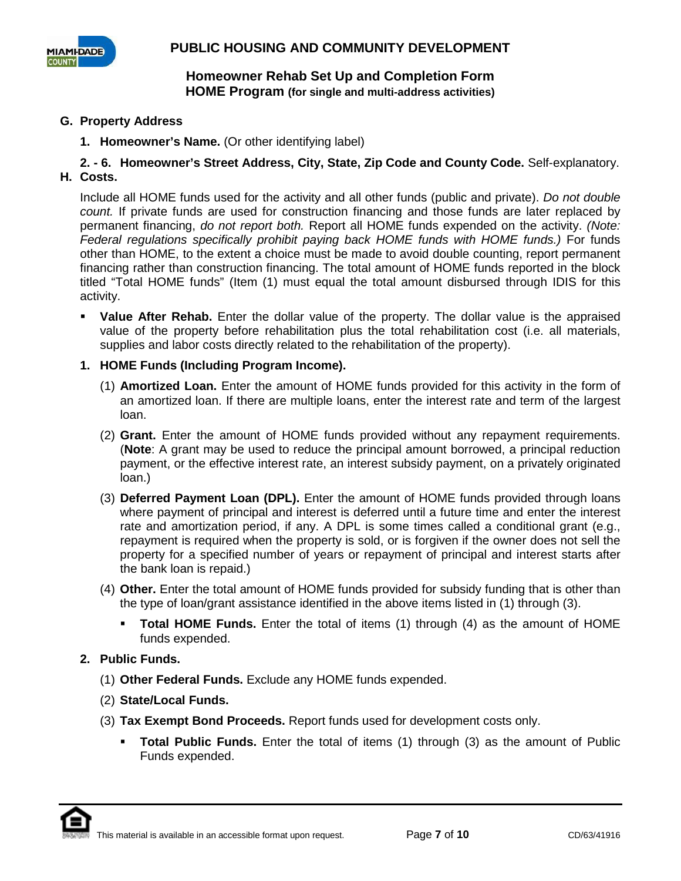

### **G. Property Address**

**1. Homeowner's Name.** (Or other identifying label)

**2. - 6. Homeowner's Street Address, City, State, Zip Code and County Code.** Self-explanatory. **H. Costs.**

Include all HOME funds used for the activity and all other funds (public and private). *Do not double count.* If private funds are used for construction financing and those funds are later replaced by permanent financing, *do not report both.* Report all HOME funds expended on the activity. *(Note: Federal regulations specifically prohibit paying back HOME funds with HOME funds.)* For funds other than HOME, to the extent a choice must be made to avoid double counting, report permanent financing rather than construction financing. The total amount of HOME funds reported in the block titled "Total HOME funds" (Item (1) must equal the total amount disbursed through IDIS for this activity.

- **Value After Rehab.** Enter the dollar value of the property. The dollar value is the appraised value of the property before rehabilitation plus the total rehabilitation cost (i.e. all materials, supplies and labor costs directly related to the rehabilitation of the property).
- **1. HOME Funds (Including Program Income).**
	- (1) **Amortized Loan.** Enter the amount of HOME funds provided for this activity in the form of an amortized loan. If there are multiple loans, enter the interest rate and term of the largest loan.
	- (2) **Grant.** Enter the amount of HOME funds provided without any repayment requirements. (**Note**: A grant may be used to reduce the principal amount borrowed, a principal reduction payment, or the effective interest rate, an interest subsidy payment, on a privately originated loan.)
	- (3) **Deferred Payment Loan (DPL).** Enter the amount of HOME funds provided through loans where payment of principal and interest is deferred until a future time and enter the interest rate and amortization period, if any. A DPL is some times called a conditional grant (e.g., repayment is required when the property is sold, or is forgiven if the owner does not sell the property for a specified number of years or repayment of principal and interest starts after the bank loan is repaid.)
	- (4) **Other.** Enter the total amount of HOME funds provided for subsidy funding that is other than the type of loan/grant assistance identified in the above items listed in (1) through (3).
		- **Total HOME Funds.** Enter the total of items (1) through (4) as the amount of HOME funds expended.

### **2. Public Funds.**

- (1) **Other Federal Funds.** Exclude any HOME funds expended.
- (2) **State/Local Funds.**
- (3) **Tax Exempt Bond Proceeds.** Report funds used for development costs only.
	- **Total Public Funds.** Enter the total of items (1) through (3) as the amount of Public Funds expended.

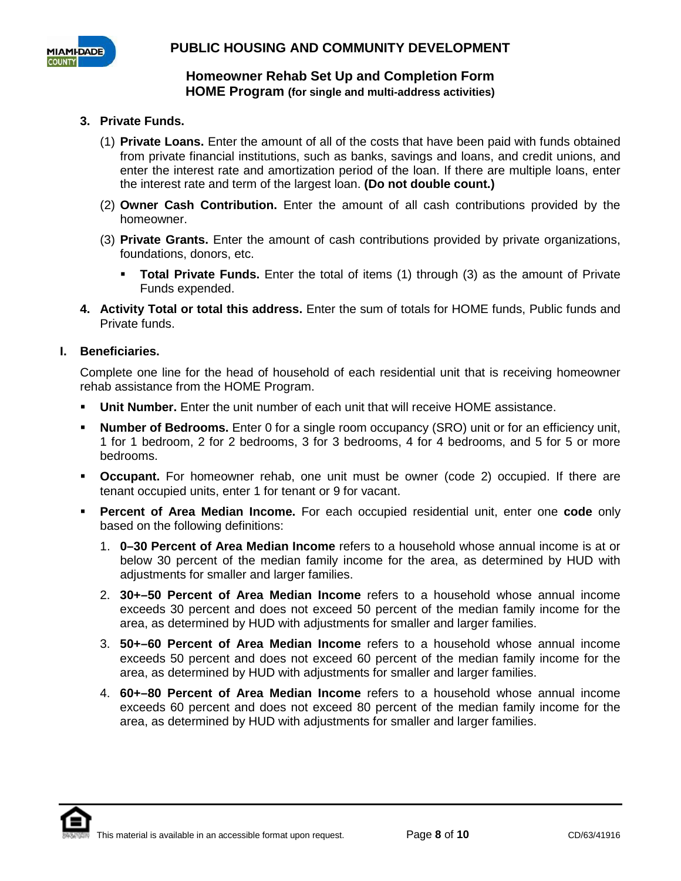

### **3. Private Funds.**

- (1) **Private Loans.** Enter the amount of all of the costs that have been paid with funds obtained from private financial institutions, such as banks, savings and loans, and credit unions, and enter the interest rate and amortization period of the loan. If there are multiple loans, enter the interest rate and term of the largest loan. **(Do not double count.)**
- (2) **Owner Cash Contribution.** Enter the amount of all cash contributions provided by the homeowner.
- (3) **Private Grants.** Enter the amount of cash contributions provided by private organizations, foundations, donors, etc.
	- **Total Private Funds.** Enter the total of items (1) through (3) as the amount of Private Funds expended.
- **4. Activity Total or total this address.** Enter the sum of totals for HOME funds, Public funds and Private funds.

#### **I. Beneficiaries.**

Complete one line for the head of household of each residential unit that is receiving homeowner rehab assistance from the HOME Program.

- **Unit Number.** Enter the unit number of each unit that will receive HOME assistance.
- **Number of Bedrooms.** Enter 0 for a single room occupancy (SRO) unit or for an efficiency unit, 1 for 1 bedroom, 2 for 2 bedrooms, 3 for 3 bedrooms, 4 for 4 bedrooms, and 5 for 5 or more bedrooms.
- **Occupant.** For homeowner rehab, one unit must be owner (code 2) occupied. If there are tenant occupied units, enter 1 for tenant or 9 for vacant.
- **Percent of Area Median Income.** For each occupied residential unit, enter one **code** only based on the following definitions:
	- 1. **0–30 Percent of Area Median Income** refers to a household whose annual income is at or below 30 percent of the median family income for the area, as determined by HUD with adjustments for smaller and larger families.
	- 2. **30+–50 Percent of Area Median Income** refers to a household whose annual income exceeds 30 percent and does not exceed 50 percent of the median family income for the area, as determined by HUD with adjustments for smaller and larger families.
	- 3. **50+–60 Percent of Area Median Income** refers to a household whose annual income exceeds 50 percent and does not exceed 60 percent of the median family income for the area, as determined by HUD with adjustments for smaller and larger families.
	- 4. **60+–80 Percent of Area Median Income** refers to a household whose annual income exceeds 60 percent and does not exceed 80 percent of the median family income for the area, as determined by HUD with adjustments for smaller and larger families.

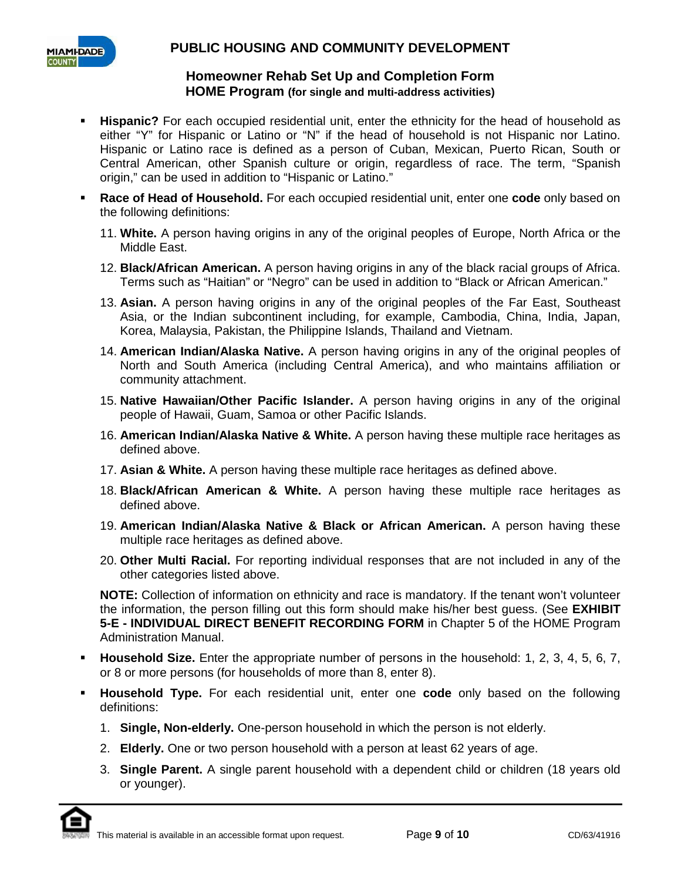

## **Homeowner Rehab Set Up and Completion Form HOME Program (for single and multi-address activities)**

- **Hispanic?** For each occupied residential unit, enter the ethnicity for the head of household as either "Y" for Hispanic or Latino or "N" if the head of household is not Hispanic nor Latino. Hispanic or Latino race is defined as a person of Cuban, Mexican, Puerto Rican, South or Central American, other Spanish culture or origin, regardless of race. The term, "Spanish origin," can be used in addition to "Hispanic or Latino."
- **Race of Head of Household.** For each occupied residential unit, enter one **code** only based on the following definitions:
	- 11. **White.** A person having origins in any of the original peoples of Europe, North Africa or the Middle East.
	- 12. **Black/African American.** A person having origins in any of the black racial groups of Africa. Terms such as "Haitian" or "Negro" can be used in addition to "Black or African American."
	- 13. **Asian.** A person having origins in any of the original peoples of the Far East, Southeast Asia, or the Indian subcontinent including, for example, Cambodia, China, India, Japan, Korea, Malaysia, Pakistan, the Philippine Islands, Thailand and Vietnam.
	- 14. **American Indian/Alaska Native.** A person having origins in any of the original peoples of North and South America (including Central America), and who maintains affiliation or community attachment.
	- 15. **Native Hawaiian/Other Pacific Islander.** A person having origins in any of the original people of Hawaii, Guam, Samoa or other Pacific Islands.
	- 16. **American Indian/Alaska Native & White.** A person having these multiple race heritages as defined above.
	- 17. **Asian & White.** A person having these multiple race heritages as defined above.
	- 18. **Black/African American & White.** A person having these multiple race heritages as defined above.
	- 19. **American Indian/Alaska Native & Black or African American.** A person having these multiple race heritages as defined above.
	- 20. **Other Multi Racial.** For reporting individual responses that are not included in any of the other categories listed above.

**NOTE:** Collection of information on ethnicity and race is mandatory. If the tenant won't volunteer the information, the person filling out this form should make his/her best guess. (See **EXHIBIT 5-E - INDIVIDUAL DIRECT BENEFIT RECORDING FORM** in Chapter 5 of the HOME Program Administration Manual.

- **Household Size.** Enter the appropriate number of persons in the household: 1, 2, 3, 4, 5, 6, 7, or 8 or more persons (for households of more than 8, enter 8).
- **Household Type.** For each residential unit, enter one **code** only based on the following definitions:
	- 1. **Single, Non-elderly.** One-person household in which the person is not elderly.
	- 2. **Elderly.** One or two person household with a person at least 62 years of age.
	- 3. **Single Parent.** A single parent household with a dependent child or children (18 years old or younger).